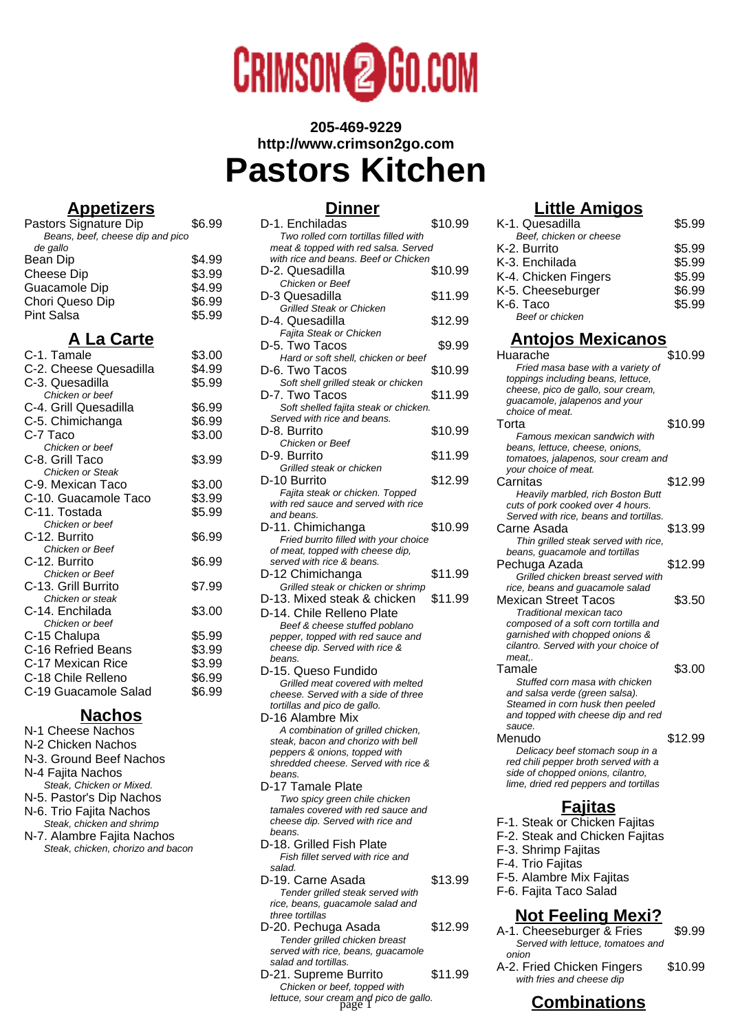

# **205-469-9229 http://www.crimson2go.com Pastors Kitchen**

### **Appetizers**

| Pastors Signature Dip            | \$6.99 |
|----------------------------------|--------|
| Beans, beef, cheese dip and pico |        |
| de gallo                         |        |
| Bean Dip                         | \$4.99 |
| <b>Cheese Dip</b>                | \$3.99 |
| Guacamole Dip                    | \$4.99 |
| Chori Queso Dip                  | \$6.99 |
| <b>Pint Salsa</b>                | \$5.99 |
| A La Carte                       |        |

| C-1. Tamale            | \$3.00 |
|------------------------|--------|
| C-2. Cheese Quesadilla | \$4.99 |
| C-3. Quesadilla        | \$5.99 |
| Chicken or beef        |        |
| C-4. Grill Quesadilla  | \$6.99 |
| C-5. Chimichanga       | \$6.99 |
| C-7 Taco               | \$3.00 |
| Chicken or beef        |        |
| C-8. Grill Taco        | \$3.99 |
| Chicken or Steak       |        |
| C-9. Mexican Taco      | \$3.00 |
| C-10. Guacamole Taco   | \$3.99 |
| C-11. Tostada          | \$5.99 |
| Chicken or beef        |        |
| C-12. Burrito          | \$6.99 |
| Chicken or Beef        |        |
| C-12. Burrito          | \$6.99 |
| Chicken or Beef        |        |
| C-13. Grill Burrito    | \$7.99 |
| Chicken or steak       |        |
| C-14. Enchilada        | \$3.00 |
| Chicken or beef        |        |
| C-15 Chalupa           | \$5.99 |
| C-16 Refried Beans     | \$3.99 |
| C-17 Mexican Rice      | \$3.99 |
| C-18 Chile Relleno     | \$6.99 |
| C-19 Guacamole Salad   | \$6.99 |
|                        |        |

### **Nachos**

N-1 Cheese Nachos N-2 Chicken Nachos N-3. Ground Beef Nachos N-4 Fajita Nachos Steak, Chicken or Mixed. N-5. Pastor's Dip Nachos N-6. Trio Fajita Nachos Steak, chicken and shrimp N-7. Alambre Fajita Nachos Steak, chicken, chorizo and bacon

## **Dinner**

| D-1. Enchiladas                                                              | \$10.99 |
|------------------------------------------------------------------------------|---------|
| Two rolled corn tortillas filled with                                        |         |
| meat & topped with red salsa. Served<br>with rice and beans. Beef or Chicken |         |
| D-2. Quesadilla                                                              | \$10.99 |
| Chicken or Beef                                                              |         |
| D-3 Quesadilla                                                               | \$11.99 |
| <b>Grilled Steak or Chicken</b>                                              |         |
| D-4. Quesadilla                                                              | \$12.99 |
| Fajita Steak or Chicken                                                      |         |
| D-5. Two Tacos<br>Hard or soft shell, chicken or beef                        | \$9.99  |
| D-6. Two Tacos                                                               | \$10.99 |
| Soft shell grilled steak or chicken                                          |         |
| D-7. Two Tacos                                                               | \$11.99 |
| Soft shelled fajita steak or chicken.                                        |         |
| Served with rice and beans.                                                  |         |
| D-8. Burrito<br>Chicken or Beef                                              | \$10.99 |
| D-9. Burrito                                                                 | \$11.99 |
| Grilled steak or chicken                                                     |         |
| D-10 Burrito                                                                 | \$12.99 |
| Fajita steak or chicken. Topped                                              |         |
| with red sauce and served with rice                                          |         |
| and beans.<br>D-11. Chimichanga                                              | \$10.99 |
| Fried burrito filled with your choice                                        |         |
| of meat, topped with cheese dip,                                             |         |
| served with rice & beans.                                                    |         |
| D-12 Chimichanga                                                             | \$11.99 |
| Grilled steak or chicken or shrimp<br>D-13. Mixed steak & chicken            | \$11.99 |
| D-14. Chile Relleno Plate                                                    |         |
| Beef & cheese stuffed poblano                                                |         |
| pepper, topped with red sauce and                                            |         |
| cheese dip. Served with rice &                                               |         |
| beans.<br>D-15. Queso Fundido                                                |         |
| Grilled meat covered with melted                                             |         |
| cheese. Served with a side of three                                          |         |
| tortillas and pico de gallo.                                                 |         |
| D-16 Alambre Mix                                                             |         |
| A combination of grilled chicken,<br>steak, bacon and chorizo with bell      |         |
| peppers & onions, topped with                                                |         |
| shredded cheese. Served with rice &                                          |         |
| beans.<br>D-17 Tamale Plate                                                  |         |
| Two spicy green chile chicken                                                |         |
| tamales covered with red sauce and                                           |         |
| cheese dip. Served with rice and                                             |         |
| beans.                                                                       |         |
| D-18. Grilled Fish Plate<br>Fish fillet served with rice and                 |         |
| salad.                                                                       |         |
| D-19. Carne Asada                                                            | \$13.99 |
| Tender grilled steak served with                                             |         |
| rice, beans, guacamole salad and<br>three tortillas                          |         |
| D-20. Pechuga Asada                                                          | \$12.99 |
| ndor quillod objoico                                                         |         |

Tender grilled chicken breast served with rice, beans, guacamole salad and tortillas. D-21. Supreme Burrito \$11.99 Chicken or beef, topped with lettuce, sour cream and pico de gallo.<br>page 1

## **Little Amigos**

| K-1. Quesadilla                                                         | \$5.99  |  |
|-------------------------------------------------------------------------|---------|--|
| Beef, chicken or cheese                                                 |         |  |
| K-2. Burrito                                                            | \$5.99  |  |
| K-3. Enchilada                                                          | \$5.99  |  |
| K-4. Chicken Fingers                                                    | \$5.99  |  |
| K-5. Cheeseburger                                                       | \$6.99  |  |
| K-6. Taco                                                               | \$5.99  |  |
| Beef or chicken                                                         |         |  |
| <u>Antojos Mexicanos</u>                                                |         |  |
| Huarache                                                                | \$10.99 |  |
| Fried masa base with a variety of                                       |         |  |
| toppings including beans, lettuce,                                      |         |  |
| cheese, pico de gallo, sour cream,                                      |         |  |
| guacamole, jalapenos and your                                           |         |  |
| choice of meat.                                                         |         |  |
| Torta                                                                   | \$10.99 |  |
| Famous mexican sandwich with                                            |         |  |
| beans, lettuce, cheese, onions,                                         |         |  |
| tomatoes, jalapenos, sour cream and                                     |         |  |
| your choice of meat.                                                    |         |  |
| Carnitas                                                                | \$12.99 |  |
| Heavily marbled, rich Boston Butt                                       |         |  |
| cuts of pork cooked over 4 hours.                                       |         |  |
| Served with rice, beans and tortillas.                                  |         |  |
| Carne Asada                                                             | \$13.99 |  |
| Thin grilled steak served with rice,                                    |         |  |
| beans, guacamole and tortillas                                          |         |  |
| Pechuga Azada                                                           | \$12.99 |  |
| Grilled chicken breast served with<br>rice, beans and guacamole salad   |         |  |
| <b>Mexican Street Tacos</b>                                             | \$3.50  |  |
| Traditional mexican taco                                                |         |  |
| composed of a soft corn tortilla and                                    |         |  |
| garnished with chopped onions &                                         |         |  |
| cilantro. Served with your choice of                                    |         |  |
| meat                                                                    |         |  |
| Tamale                                                                  | \$3.00  |  |
| Stuffed corn masa with chicken                                          |         |  |
| and salsa verde (green salsa).                                          |         |  |
| Steamed in corn husk then peeled                                        |         |  |
| and topped with cheese dip and red                                      |         |  |
| sauce.<br>Menudo                                                        | \$12.99 |  |
|                                                                         |         |  |
| Delicacy beef stomach soup in a<br>red chili pepper broth served with a |         |  |
| side of chopped onions, cilantro,                                       |         |  |
| lime, dried red peppers and tortillas                                   |         |  |
|                                                                         |         |  |
| <b><u>Fajitas</u></b><br>F-1. Steak or Chicken Fajitas                  |         |  |
|                                                                         |         |  |
| F-2. Steak and Chicken Fajitas                                          |         |  |
| F-3. Shrimp Fajitas                                                     |         |  |
| F-4. Trio Fajitas                                                       |         |  |
|                                                                         |         |  |
| F-5. Alambre Mix Fajitas                                                |         |  |
| F-6. Fajita Taco Salad                                                  |         |  |
| <u>Not Feeling Mexi?</u>                                                |         |  |
| A-1. Cheeseburger & Fries                                               | \$9.99  |  |
| Served with lettuce, tomatoes and                                       |         |  |
| onion                                                                   |         |  |

**Combinations** 

with fries and cheese dip

A-2. Fried Chicken Fingers \$10.99